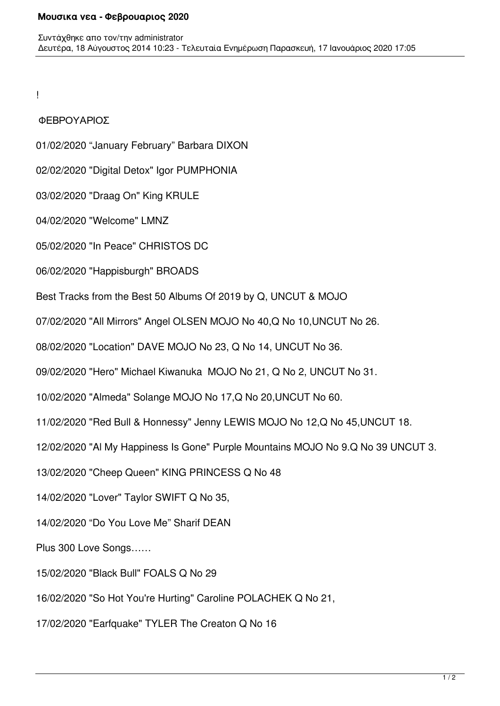!

## ΦΕΒΡΟΥΑΡΙΟΣ

01/02/2020 "January February" Barbara DIXON

02/02/2020 "Digital Detox" Igor PUMPHONIA

03/02/2020 "Draag On" King KRULE

04/02/2020 "Welcome" LMNZ

05/02/2020 "In Peace" CHRISTOS DC

06/02/2020 "Happisburgh" BROADS

Best Tracks from the Best 50 Albums Of 2019 by Q, UNCUT & MOJO

07/02/2020 "All Mirrors" Angel OLSEN MOJO No 40,Q No 10,UNCUT No 26.

08/02/2020 "Location" DAVE MOJO No 23, Q No 14, UNCUT No 36.

09/02/2020 "Hero" Michael Kiwanuka MOJO No 21, Q No 2, UNCUT No 31.

10/02/2020 "Almeda" Solange MOJO No 17,Q No 20,UNCUT No 60.

11/02/2020 "Red Bull & Honnessy" Jenny LEWIS MOJO No 12,Q No 45,UNCUT 18.

12/02/2020 "Al My Happiness Is Gone" Purple Mountains MOJO No 9.Q No 39 UNCUT 3.

13/02/2020 "Cheep Queen" KING PRINCESS Q No 48

14/02/2020 "Lover" Taylor SWIFT Q No 35,

14/02/2020 "Do You Love Me" Sharif DEAN

Plus 300 Love Songs……

15/02/2020 "Black Bull" FOALS Q No 29

16/02/2020 "So Hot You're Hurting" Caroline POLACHEK Q No 21,

17/02/2020 "Earfquake" TYLER The Creaton Q No 16